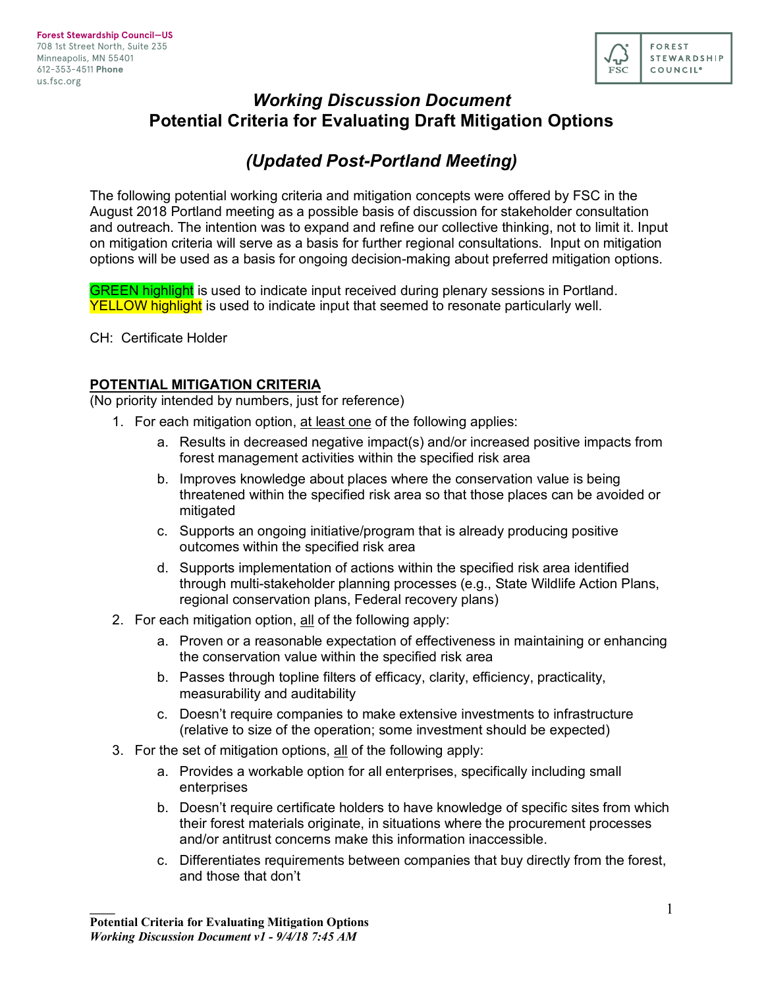

# *Working Discussion Document* **Potential Criteria for Evaluating Draft Mitigation Options**

# *(Updated Post-Portland Meeting)*

The following potential working criteria and mitigation concepts were offered by FSC in the August 2018 Portland meeting as a possible basis of discussion for stakeholder consultation and outreach. The intention was to expand and refine our collective thinking, not to limit it. Input on mitigation criteria will serve as a basis for further regional consultations. Input on mitigation options will be used as a basis for ongoing decision-making about preferred mitigation options.

**GREEN highlight** is used to indicate input received during plenary sessions in Portland. YELLOW highlight is used to indicate input that seemed to resonate particularly well.

CH: Certificate Holder

## **POTENTIAL MITIGATION CRITERIA**

(No priority intended by numbers, just for reference)

- 1. For each mitigation option, at least one of the following applies:
	- a. Results in decreased negative impact(s) and/or increased positive impacts from forest management activities within the specified risk area
	- b. Improves knowledge about places where the conservation value is being threatened within the specified risk area so that those places can be avoided or mitigated
	- c. Supports an ongoing initiative/program that is already producing positive outcomes within the specified risk area
	- d. Supports implementation of actions within the specified risk area identified through multi-stakeholder planning processes (e.g., State Wildlife Action Plans, regional conservation plans, Federal recovery plans)
- 2. For each mitigation option, all of the following apply:
	- a. Proven or a reasonable expectation of effectiveness in maintaining or enhancing the conservation value within the specified risk area
	- b. Passes through topline filters of efficacy, clarity, efficiency, practicality, measurability and auditability
	- c. Doesn't require companies to make extensive investments to infrastructure (relative to size of the operation; some investment should be expected)
- 3. For the set of mitigation options, all of the following apply:
	- a. Provides a workable option for all enterprises, specifically including small enterprises
	- b. Doesn't require certificate holders to have knowledge of specific sites from which their forest materials originate, in situations where the procurement processes and/or antitrust concerns make this information inaccessible.
	- c. Differentiates requirements between companies that buy directly from the forest, and those that don't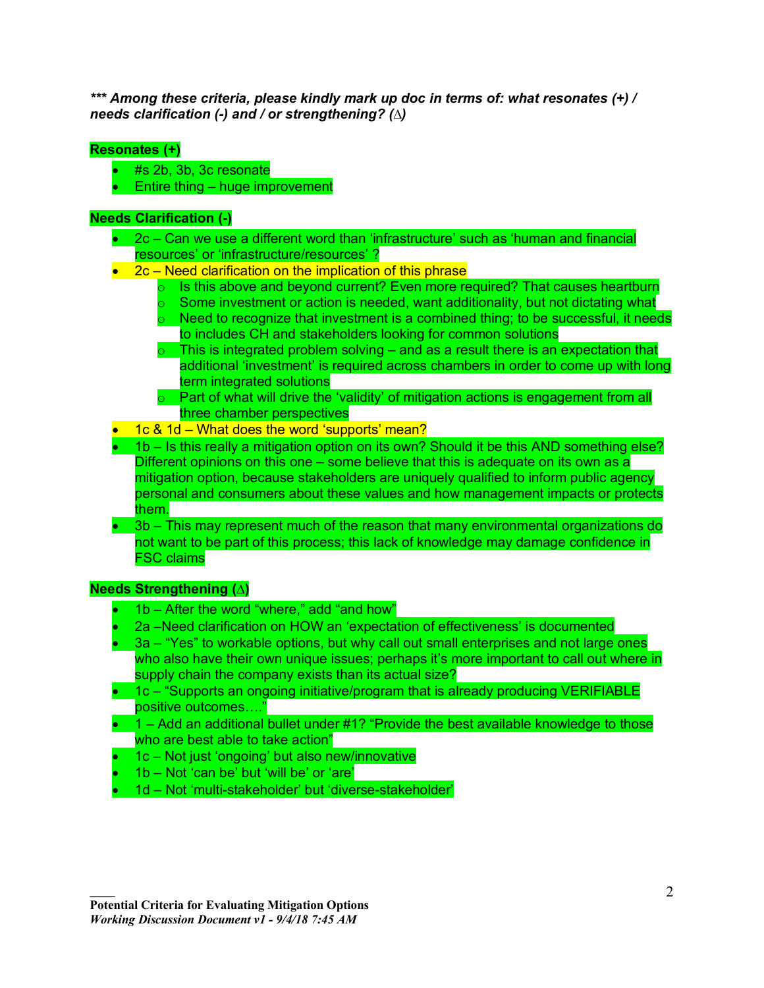*\*\*\* Among these criteria, please kindly mark up doc in terms of: what resonates (+) / needs clarification (-) and / or strengthening? (∆)*

# **Resonates (+)**

- #s 2b, 3b, 3c resonate
- Entire thing huge improvement

#### **Needs Clarification (-)**

- 2c Can we use a different word than 'infrastructure' such as 'human and financial resources' or 'infrastructure/resources' ?
- 2c Need clarification on the implication of this phrase
	- $\circ$  Is this above and beyond current? Even more required? That causes heartburn
	- $\circ$  Some investment or action is needed, want additionality, but not dictating what
	- $\circ$  Need to recognize that investment is a combined thing; to be successful, it needs to includes CH and stakeholders looking for common solutions
	- $\circ$  This is integrated problem solving and as a result there is an expectation that additional 'investment' is required across chambers in order to come up with long term integrated solutions
	- o Part of what will drive the 'validity' of mitigation actions is engagement from all three chamber perspectives
- 1c & 1d What does the word 'supports' mean?
- 1b Is this really a mitigation option on its own? Should it be this AND something else? Different opinions on this one – some believe that this is adequate on its own as a mitigation option, because stakeholders are uniquely qualified to inform public agency personal and consumers about these values and how management impacts or protects them.
- 3b This may represent much of the reason that many environmental organizations do not want to be part of this process; this lack of knowledge may damage confidence in FSC claims

# **Needs Strengthening (∆)**

- 1b After the word "where," add "and how"
- 2a –Need clarification on HOW an 'expectation of effectiveness' is documented
- 3a "Yes" to workable options, but why call out small enterprises and not large ones who also have their own unique issues; perhaps it's more important to call out where in supply chain the company exists than its actual size?
- 1c "Supports an ongoing initiative/program that is already producing VERIFIABLE positive outcomes…."
- $\bullet$  1 Add an additional bullet under #1? "Provide the best available knowledge to those who are best able to take action"
- 1c Not just 'ongoing' but also new/innovative
- 1b Not 'can be' but 'will be' or 'are'
- 1d Not 'multi-stakeholder' but 'diverse-stakeholder'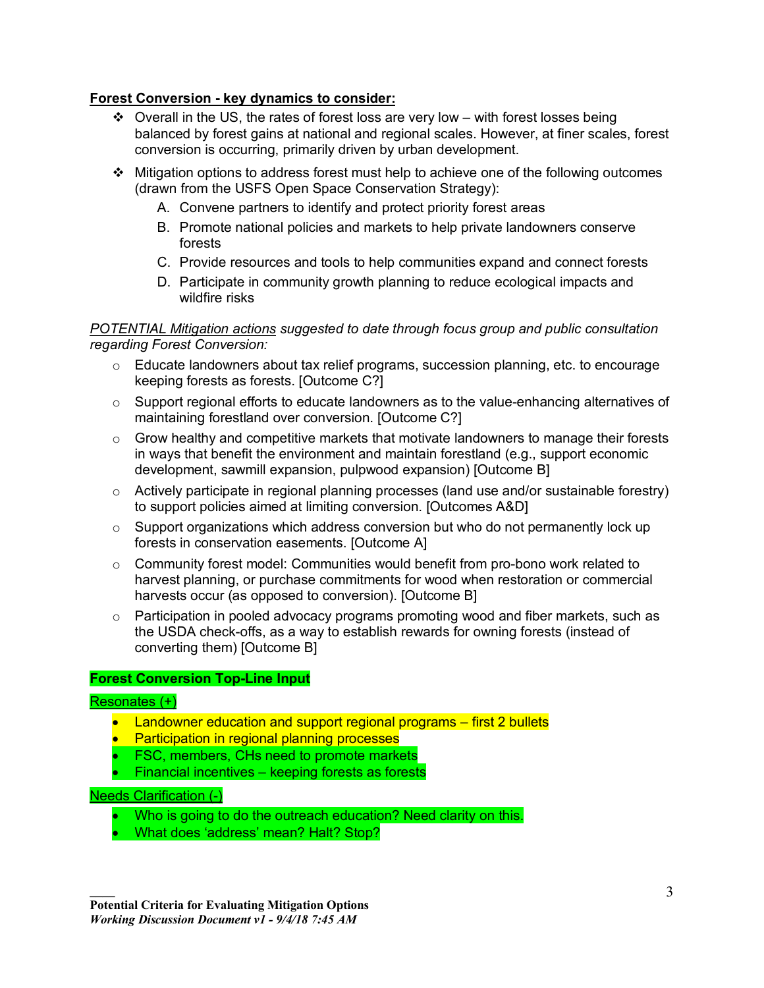# **Forest Conversion - key dynamics to consider:**

- $\div$  Overall in the US, the rates of forest loss are very low with forest losses being balanced by forest gains at national and regional scales. However, at finer scales, forest conversion is occurring, primarily driven by urban development.
- $\cdot \cdot$  Mitigation options to address forest must help to achieve one of the following outcomes (drawn from the USFS Open Space Conservation Strategy):
	- A. Convene partners to identify and protect priority forest areas
	- B. Promote national policies and markets to help private landowners conserve forests
	- C. Provide resources and tools to help communities expand and connect forests
	- D. Participate in community growth planning to reduce ecological impacts and wildfire risks

#### *POTENTIAL Mitigation actions suggested to date through focus group and public consultation regarding Forest Conversion:*

- $\circ$  Educate landowners about tax relief programs, succession planning, etc. to encourage keeping forests as forests. [Outcome C?]
- o Support regional efforts to educate landowners as to the value-enhancing alternatives of maintaining forestland over conversion. [Outcome C?]
- $\circ$  Grow healthy and competitive markets that motivate landowners to manage their forests in ways that benefit the environment and maintain forestland (e.g., support economic development, sawmill expansion, pulpwood expansion) [Outcome B]
- o Actively participate in regional planning processes (land use and/or sustainable forestry) to support policies aimed at limiting conversion. [Outcomes A&D]
- o Support organizations which address conversion but who do not permanently lock up forests in conservation easements. [Outcome A]
- $\circ$  Community forest model: Communities would benefit from pro-bono work related to harvest planning, or purchase commitments for wood when restoration or commercial harvests occur (as opposed to conversion). [Outcome B]
- o Participation in pooled advocacy programs promoting wood and fiber markets, such as the USDA check-offs, as a way to establish rewards for owning forests (instead of converting them) [Outcome B]

#### **Forest Conversion Top-Line Input**

#### Resonates (+)

- Landowner education and support regional programs first 2 bullets
- Participation in regional planning processes
- FSC, members, CHs need to promote markets
- Financial incentives keeping forests as forests

#### Needs Clarification (-)

- Who is going to do the outreach education? Need clarity on this.
- What does 'address' mean? Halt? Stop?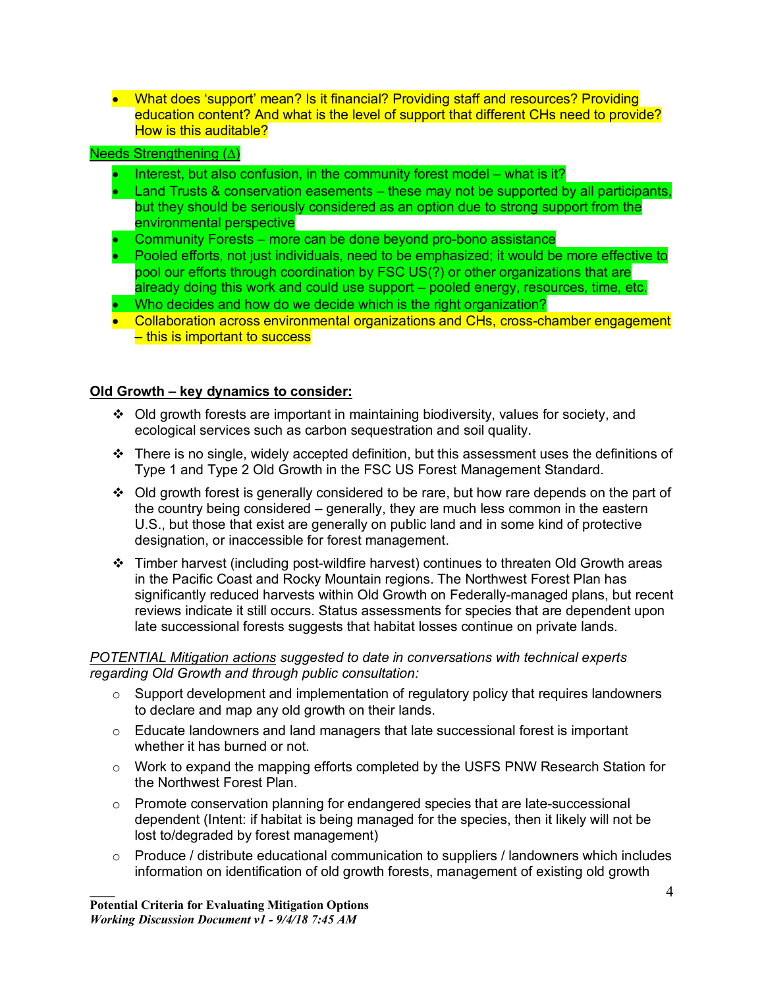• What does 'support' mean? Is it financial? Providing staff and resources? Providing education content? And what is the level of support that different CHs need to provide? How is this auditable?

#### Needs Strengthening (∆)

- Interest, but also confusion, in the community forest model what is it?
- Land Trusts & conservation easements these may not be supported by all participants, but they should be seriously considered as an option due to strong support from the environmental perspective
- Community Forests more can be done beyond pro-bono assistance
- Pooled efforts, not just individuals, need to be emphasized; it would be more effective to pool our efforts through coordination by FSC US(?) or other organizations that are already doing this work and could use support – pooled energy, resources, time, etc.
- Who decides and how do we decide which is the right organization?
- Collaboration across environmental organizations and CHs, cross-chamber engagement – this is important to success

#### **Old Growth – key dynamics to consider:**

- $\div$  Old growth forests are important in maintaining biodiversity, values for society, and ecological services such as carbon sequestration and soil quality.
- $\cdot \cdot$  There is no single, widely accepted definition, but this assessment uses the definitions of Type 1 and Type 2 Old Growth in the FSC US Forest Management Standard.
- $\div$  Old growth forest is generally considered to be rare, but how rare depends on the part of the country being considered – generally, they are much less common in the eastern U.S., but those that exist are generally on public land and in some kind of protective designation, or inaccessible for forest management.
- $\div$  Timber harvest (including post-wildfire harvest) continues to threaten Old Growth areas in the Pacific Coast and Rocky Mountain regions. The Northwest Forest Plan has significantly reduced harvests within Old Growth on Federally-managed plans, but recent reviews indicate it still occurs. Status assessments for species that are dependent upon late successional forests suggests that habitat losses continue on private lands.

#### *POTENTIAL Mitigation actions suggested to date in conversations with technical experts regarding Old Growth and through public consultation:*

- $\circ$  Support development and implementation of regulatory policy that requires landowners to declare and map any old growth on their lands.
- o Educate landowners and land managers that late successional forest is important whether it has burned or not.
- $\circ$  Work to expand the mapping efforts completed by the USFS PNW Research Station for the Northwest Forest Plan.
- $\circ$  Promote conservation planning for endangered species that are late-successional dependent (Intent: if habitat is being managed for the species, then it likely will not be lost to/degraded by forest management)
- $\circ$  Produce / distribute educational communication to suppliers / landowners which includes information on identification of old growth forests, management of existing old growth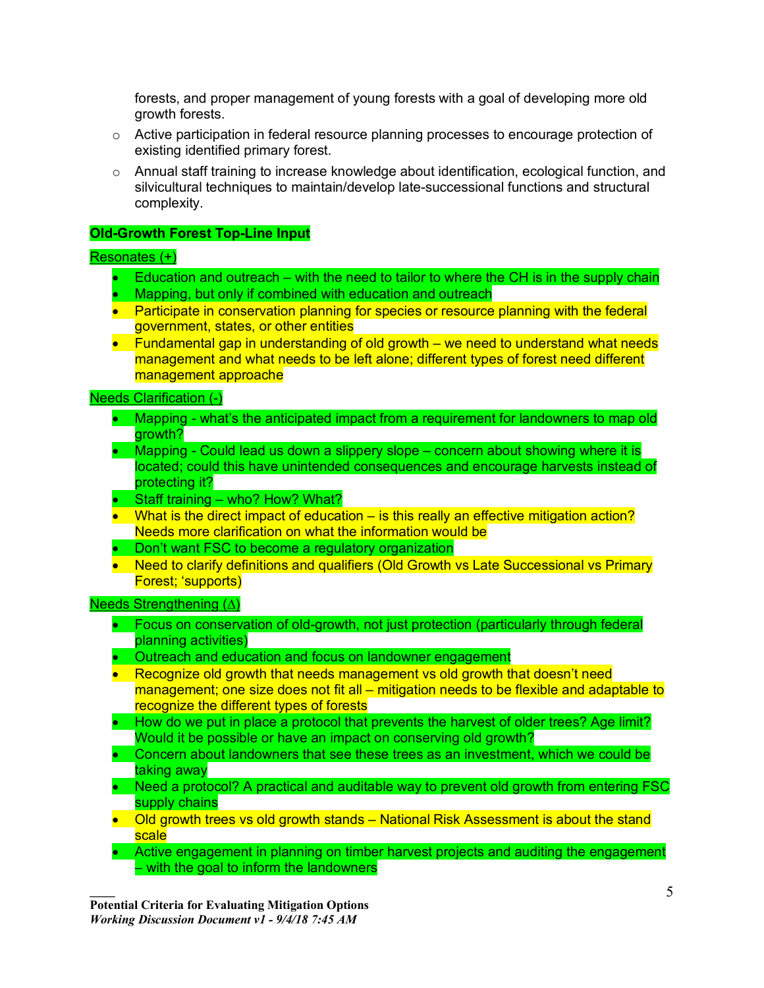forests, and proper management of young forests with a goal of developing more old growth forests.

- $\circ$  Active participation in federal resource planning processes to encourage protection of existing identified primary forest.
- $\circ$  Annual staff training to increase knowledge about identification, ecological function, and silvicultural techniques to maintain/develop late-successional functions and structural complexity.

## **Old-Growth Forest Top-Line Input**

#### Resonates (+)

- Education and outreach with the need to tailor to where the CH is in the supply chain
- Mapping, but only if combined with education and outreach
- Participate in conservation planning for species or resource planning with the federal government, states, or other entities
- Fundamental gap in understanding of old growth we need to understand what needs management and what needs to be left alone; different types of forest need different management approache

Needs Clarification (-)

- Mapping what's the anticipated impact from a requirement for landowners to map old arowth?
- Mapping Could lead us down a slippery slope concern about showing where it is located; could this have unintended consequences and encourage harvests instead of protecting it?
- Staff training who? How? What?
- What is the direct impact of education is this really an effective mitigation action? Needs more clarification on what the information would be
- Don't want FSC to become a regulatory organization
- Need to clarify definitions and qualifiers (Old Growth vs Late Successional vs Primary Forest; 'supports)

#### Needs Strengthening (∆)

- Focus on conservation of old-growth, not just protection (particularly through federal planning activities)
- Outreach and education and focus on landowner engagement
- Recognize old growth that needs management vs old growth that doesn't need management; one size does not fit all – mitigation needs to be flexible and adaptable to recognize the different types of forests
- How do we put in place a protocol that prevents the harvest of older trees? Age limit? Would it be possible or have an impact on conserving old growth?
- Concern about landowners that see these trees as an investment, which we could be taking away
- Need a protocol? A practical and auditable way to prevent old growth from entering FSC supply chains
- Old growth trees vs old growth stands National Risk Assessment is about the stand scale
- Active engagement in planning on timber harvest projects and auditing the engagement – with the goal to inform the landowners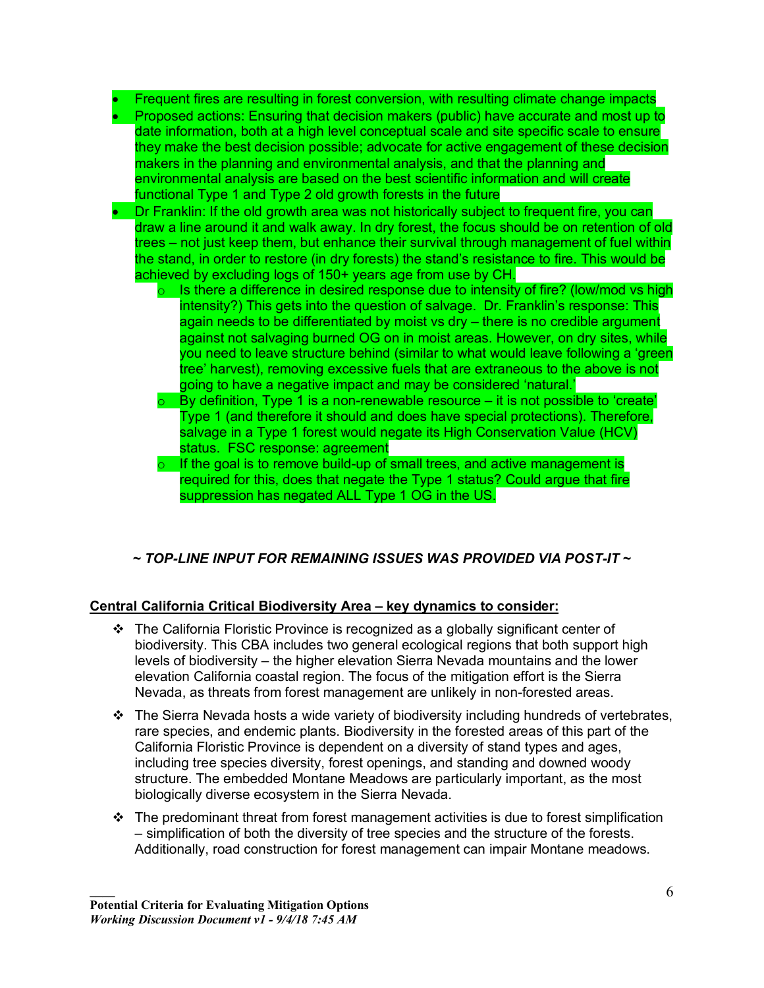- Frequent fires are resulting in forest conversion, with resulting climate change impacts
- Proposed actions: Ensuring that decision makers (public) have accurate and most up to date information, both at a high level conceptual scale and site specific scale to ensure they make the best decision possible; advocate for active engagement of these decision makers in the planning and environmental analysis, and that the planning and environmental analysis are based on the best scientific information and will create functional Type 1 and Type 2 old growth forests in the future
- Dr Franklin: If the old growth area was not historically subject to frequent fire, you can draw a line around it and walk away. In dry forest, the focus should be on retention of old trees – not just keep them, but enhance their survival through management of fuel within the stand, in order to restore (in dry forests) the stand's resistance to fire. This would be achieved by excluding logs of 150+ years age from use by CH.
	- $\circ$  Is there a difference in desired response due to intensity of fire? (low/mod vs high intensity?) This gets into the question of salvage. Dr. Franklin's response: This again needs to be differentiated by moist vs dry – there is no credible argument against not salvaging burned OG on in moist areas. However, on dry sites, while you need to leave structure behind (similar to what would leave following a 'green tree' harvest), removing excessive fuels that are extraneous to the above is not going to have a negative impact and may be considered 'natural.'
	- $\circ$  By definition, Type 1 is a non-renewable resource it is not possible to 'create' Type 1 (and therefore it should and does have special protections). Therefore, salvage in a Type 1 forest would negate its High Conservation Value (HCV) status. FSC response: agreement
	- $\circ$  If the goal is to remove build-up of small trees, and active management is required for this, does that negate the Type 1 status? Could argue that fire suppression has negated ALL Type 1 OG in the US.

# *~ TOP-LINE INPUT FOR REMAINING ISSUES WAS PROVIDED VIA POST-IT ~*

# **Central California Critical Biodiversity Area – key dynamics to consider:**

- $\div$  The California Floristic Province is recognized as a globally significant center of biodiversity. This CBA includes two general ecological regions that both support high levels of biodiversity – the higher elevation Sierra Nevada mountains and the lower elevation California coastal region. The focus of the mitigation effort is the Sierra Nevada, as threats from forest management are unlikely in non-forested areas.
- $\cdot \cdot$  The Sierra Nevada hosts a wide variety of biodiversity including hundreds of vertebrates, rare species, and endemic plants. Biodiversity in the forested areas of this part of the California Floristic Province is dependent on a diversity of stand types and ages, including tree species diversity, forest openings, and standing and downed woody structure. The embedded Montane Meadows are particularly important, as the most biologically diverse ecosystem in the Sierra Nevada.
- $\cdot \cdot$  The predominant threat from forest management activities is due to forest simplification – simplification of both the diversity of tree species and the structure of the forests. Additionally, road construction for forest management can impair Montane meadows.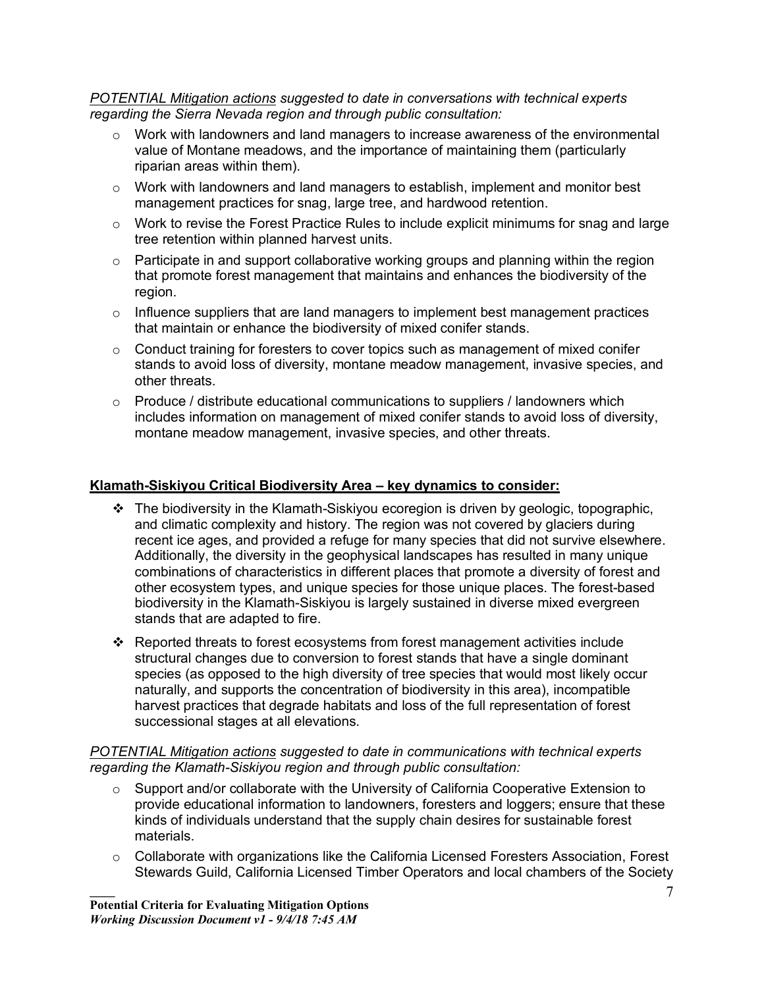*POTENTIAL Mitigation actions suggested to date in conversations with technical experts regarding the Sierra Nevada region and through public consultation:*

- o Work with landowners and land managers to increase awareness of the environmental value of Montane meadows, and the importance of maintaining them (particularly riparian areas within them).
- o Work with landowners and land managers to establish, implement and monitor best management practices for snag, large tree, and hardwood retention.
- $\circ$  Work to revise the Forest Practice Rules to include explicit minimums for snag and large tree retention within planned harvest units.
- o Participate in and support collaborative working groups and planning within the region that promote forest management that maintains and enhances the biodiversity of the region.
- $\circ$  Influence suppliers that are land managers to implement best management practices that maintain or enhance the biodiversity of mixed conifer stands.
- $\circ$  Conduct training for foresters to cover topics such as management of mixed conifer stands to avoid loss of diversity, montane meadow management, invasive species, and other threats.
- $\circ$  Produce / distribute educational communications to suppliers / landowners which includes information on management of mixed conifer stands to avoid loss of diversity, montane meadow management, invasive species, and other threats.

#### **Klamath-Siskiyou Critical Biodiversity Area – key dynamics to consider:**

- $\cdot \cdot$  The biodiversity in the Klamath-Siskiyou ecoregion is driven by geologic, topographic, and climatic complexity and history. The region was not covered by glaciers during recent ice ages, and provided a refuge for many species that did not survive elsewhere. Additionally, the diversity in the geophysical landscapes has resulted in many unique combinations of characteristics in different places that promote a diversity of forest and other ecosystem types, and unique species for those unique places. The forest-based biodiversity in the Klamath-Siskiyou is largely sustained in diverse mixed evergreen stands that are adapted to fire.
- Reported threats to forest ecosystems from forest management activities include structural changes due to conversion to forest stands that have a single dominant species (as opposed to the high diversity of tree species that would most likely occur naturally, and supports the concentration of biodiversity in this area), incompatible harvest practices that degrade habitats and loss of the full representation of forest successional stages at all elevations.

#### *POTENTIAL Mitigation actions suggested to date in communications with technical experts regarding the Klamath-Siskiyou region and through public consultation:*

- o Support and/or collaborate with the University of California Cooperative Extension to provide educational information to landowners, foresters and loggers; ensure that these kinds of individuals understand that the supply chain desires for sustainable forest materials.
- $\circ$  Collaborate with organizations like the California Licensed Foresters Association, Forest Stewards Guild, California Licensed Timber Operators and local chambers of the Society